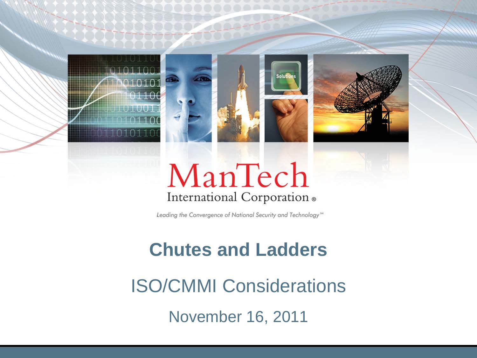





# ManTech International Corporation .

Leading the Convergence of National Security and Technology<sup>544</sup>

#### **Chutes and Ladders**

ISO/CMMI Considerations November 16, 2011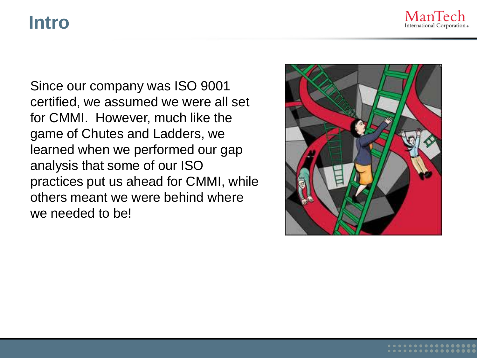#### **Intro**



Since our company was ISO 9001 certified, we assumed we were all set for CMMI. However, much like the game of Chutes and Ladders, we learned when we performed our gap analysis that some of our ISO practices put us ahead for CMMI, while others meant we were behind where we needed to be!

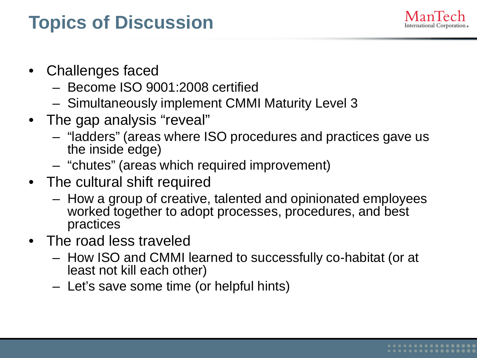## **Topics of Discussion**



- Challenges faced
	- Become ISO 9001:2008 certified
	- Simultaneously implement CMMI Maturity Level 3
- The gap analysis "reveal"
	- "ladders" (areas where ISO procedures and practices gave us the inside edge)
	- "chutes" (areas which required improvement)
- The cultural shift required
	- How a group of creative, talented and opinionated employees worked together to adopt processes, procedures, and best practices
- The road less traveled
	- How ISO and CMMI learned to successfully co-habitat (or at least not kill each other)
	- Let's save some time (or helpful hints)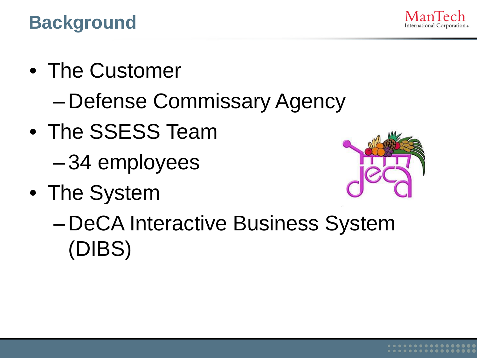**Background**

- The Customer
	- Defense Commissary Agency
- The SSESS Team
	- 34 employees
- The System



– DeCA Interactive Business System (DIBS)

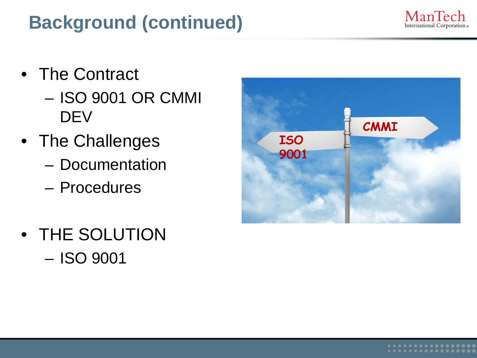# **Background (continued)**



- The Contract
	- ISO 9001 OR CMMI **DEV**
- The Challenges
	- Documentation
	- Procedures
- THE SOLUTION – ISO 9001

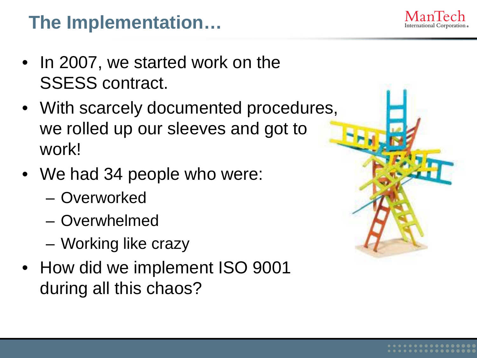## **The Implementation…**

- In 2007, we started work on the SSESS contract.
- With scarcely documented procedures, we rolled up our sleeves and got to work!
- We had 34 people who were:
	- Overworked
	- Overwhelmed
	- Working like crazy
- How did we implement ISO 9001 during all this chaos?



International Corporation «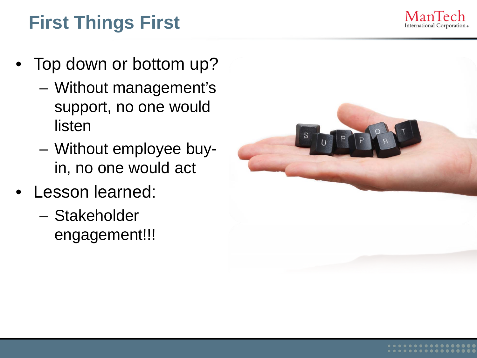

# **First Things First**

- Top down or bottom up?
	- Without management's support, no one would listen
	- Without employee buyin, no one would act
- Lesson learned:
	- Stakeholder engagement!!!

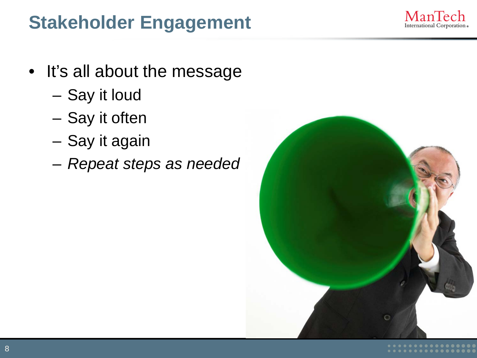#### **Stakeholder Engagement**



- It's all about the message
	- Say it loud
	- Say it often
	- Say it again
	- *Repeat steps as needed*

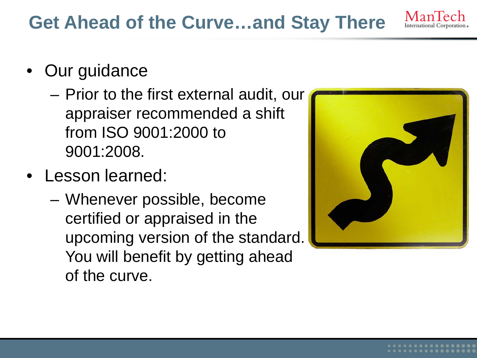#### **Get Ahead of the Curve…and Stay There**

- Our guidance
	- Prior to the first external audit, our appraiser recommended a shift from ISO 9001:2000 to 9001:2008.
- Lesson learned:
	- Whenever possible, become certified or appraised in the upcoming version of the standard. You will benefit by getting ahead of the curve.



ManTe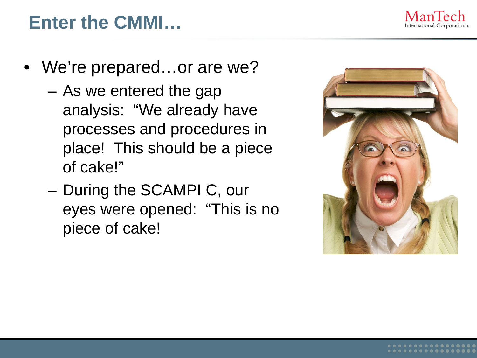

#### **Enter the CMMI…**

- We're prepared...or are we?
	- As we entered the gap analysis: "We already have processes and procedures in place! This should be a piece of cake!"
	- During the SCAMPI C, our eyes were opened: "This is no piece of cake!

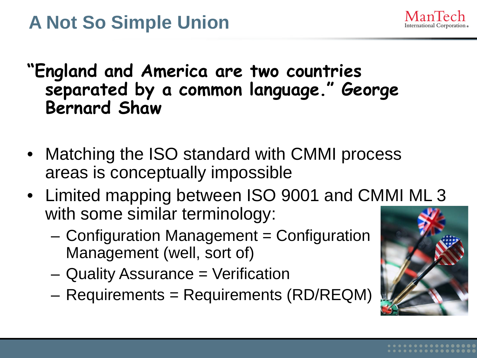

#### **"England and America are two countries separated by a common language." George Bernard Shaw**

- Matching the ISO standard with CMMI process areas is conceptually impossible
- Limited mapping between ISO 9001 and CMMI ML 3 with some similar terminology:
	- Configuration Management = Configuration Management (well, sort of)
	- Quality Assurance = Verification
	- Requirements = Requirements (RD/REQM)

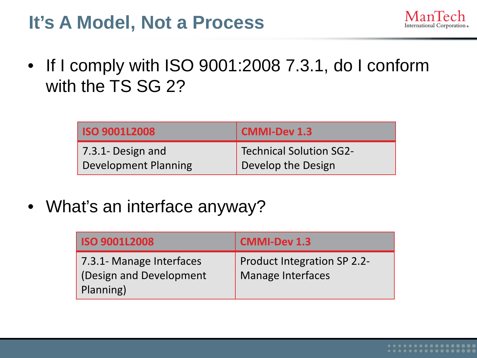### **It's A Model, Not a Process**



• If I comply with ISO 9001:2008 7.3.1, do I conform with the TS SG 2?

| <b>ISO 9001L2008</b>        | <b>CMMI-Dev 1.3</b>     |
|-----------------------------|-------------------------|
| $7.3.1 - Design and$        | Technical Solution SG2- |
| <b>Development Planning</b> | Develop the Design      |

• What's an interface anyway?

| <b>ISO 9001L2008</b>                                             | CMMI-Dev 1.3                                            |
|------------------------------------------------------------------|---------------------------------------------------------|
| 7.3.1- Manage Interfaces<br>(Design and Development<br>Planning) | <b>Product Integration SP 2.2-</b><br>Manage Interfaces |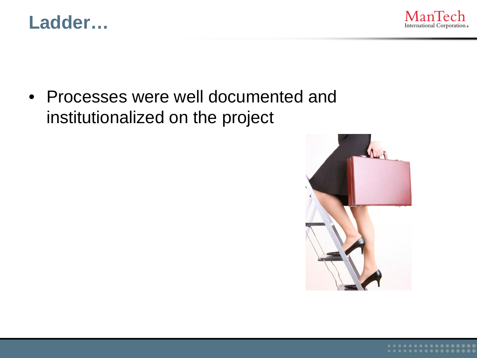



• Processes were well documented and institutionalized on the project

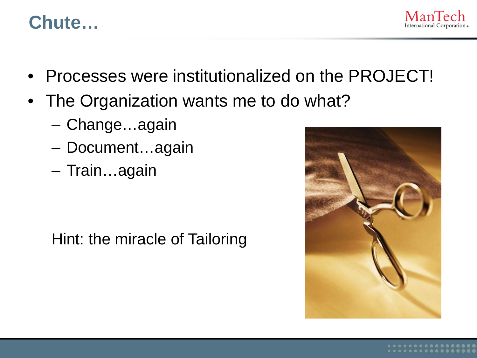#### **Chute…**



- Processes were institutionalized on the PROJECT!
- The Organization wants me to do what?
	- Change…again
	- Document…again
	- Train…again

Hint: the miracle of Tailoring

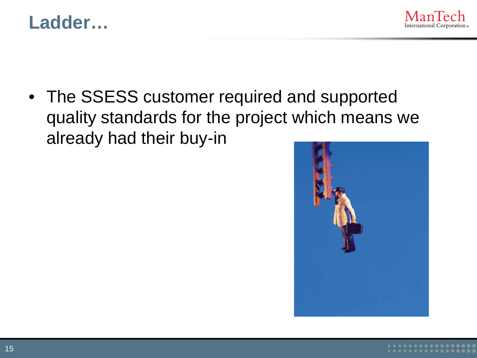



• The SSESS customer required and supported quality standards for the project which means we already had their buy-in

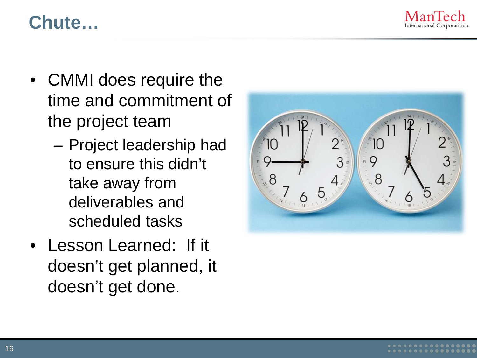

#### **Chute…**

- CMMI does require the time and commitment of the project team
	- Project leadership had to ensure this didn't take away from deliverables and scheduled tasks
- Lesson Learned: If it doesn't get planned, it doesn't get done.

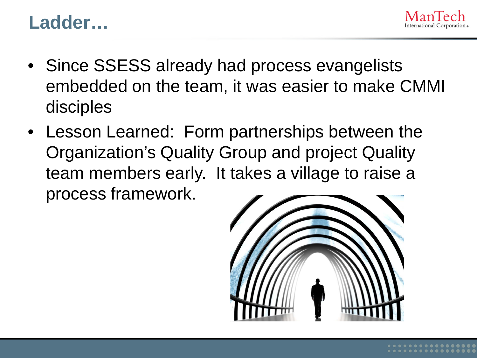

#### **Ladder…**

- Since SSESS already had process evangelists embedded on the team, it was easier to make CMMI disciples
- Lesson Learned: Form partnerships between the Organization's Quality Group and project Quality team members early. It takes a village to raise a process framework.

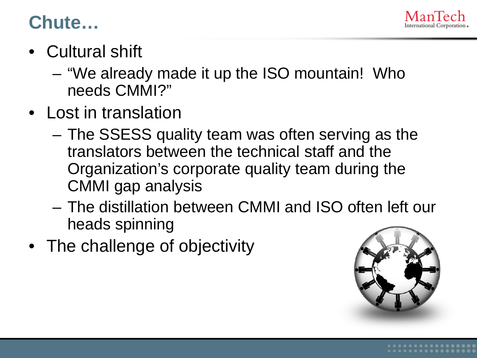

#### **Chute…**

- Cultural shift
	- "We already made it up the ISO mountain! Who needs CMMI?"
- Lost in translation
	- The SSESS quality team was often serving as the translators between the technical staff and the Organization's corporate quality team during the CMMI gap analysis
	- The distillation between CMMI and ISO often left our heads spinning
- The challenge of objectivity

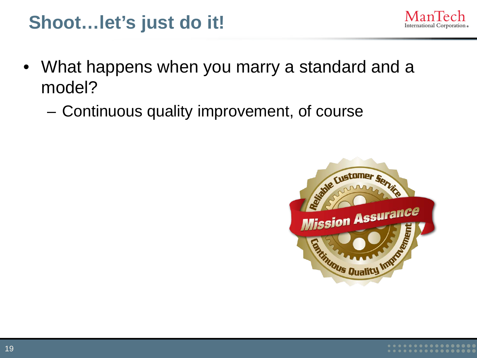#### **Shoot…let's just do it!**

- International Corporation.
- What happens when you marry a standard and a model?
	- Continuous quality improvement, of course

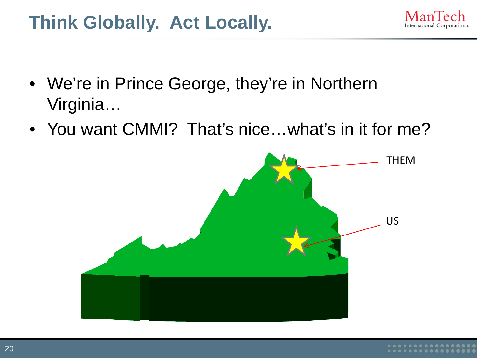## **Think Globally. Act Locally.**

International Corporation.

- We're in Prince George, they're in Northern Virginia…
- You want CMMI? That's nice...what's in it for me?

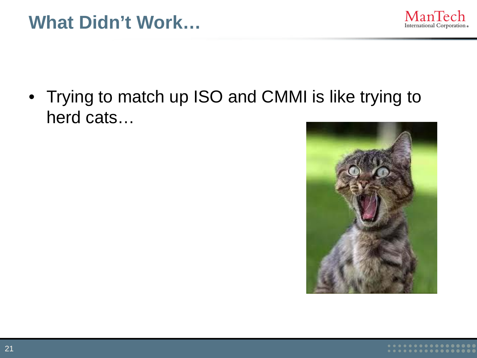#### **What Didn't Work…**



• Trying to match up ISO and CMMI is like trying to herd cats…

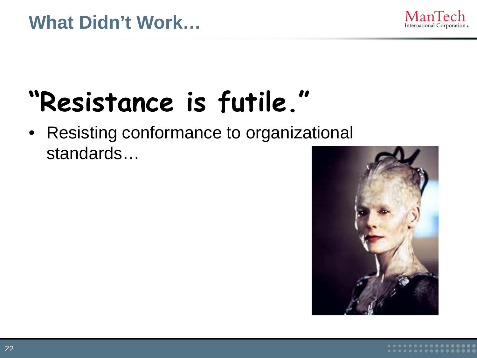#### **What Didn't Work…**



# **"Resistance is futile."**

• Resisting conformance to organizational standards…

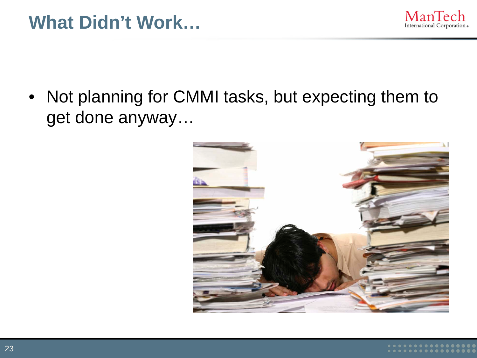#### **What Didn't Work…**



• Not planning for CMMI tasks, but expecting them to get done anyway…

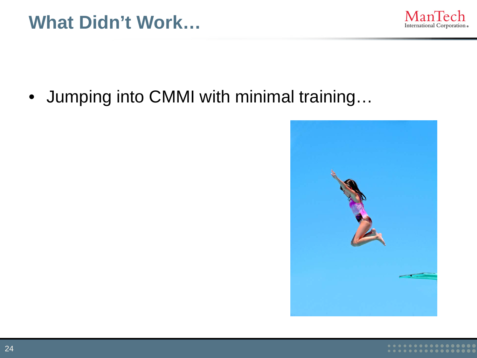

• Jumping into CMMI with minimal training…

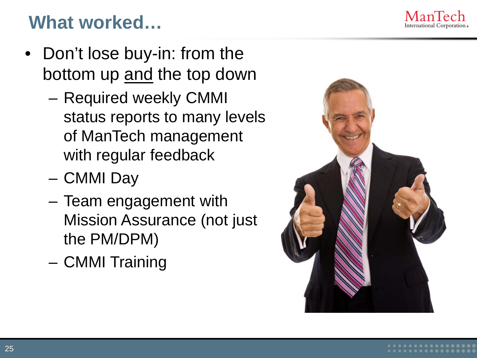## **What worked…**

- Don't lose buy-in: from the bottom up and the top down
	- Required weekly CMMI status reports to many levels of ManTech management with regular feedback
	- CMMI Day
	- Team engagement with Mission Assurance (not just the PM/DPM)
	- CMMI Training



International Corporation .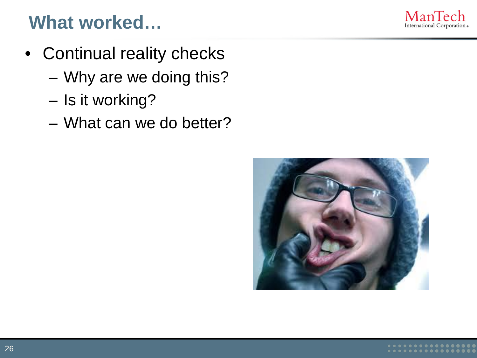### **What worked…**

- Continual reality checks
	- Why are we doing this?
	- Is it working?
	- What can we do better?



ManTech International Corporation .